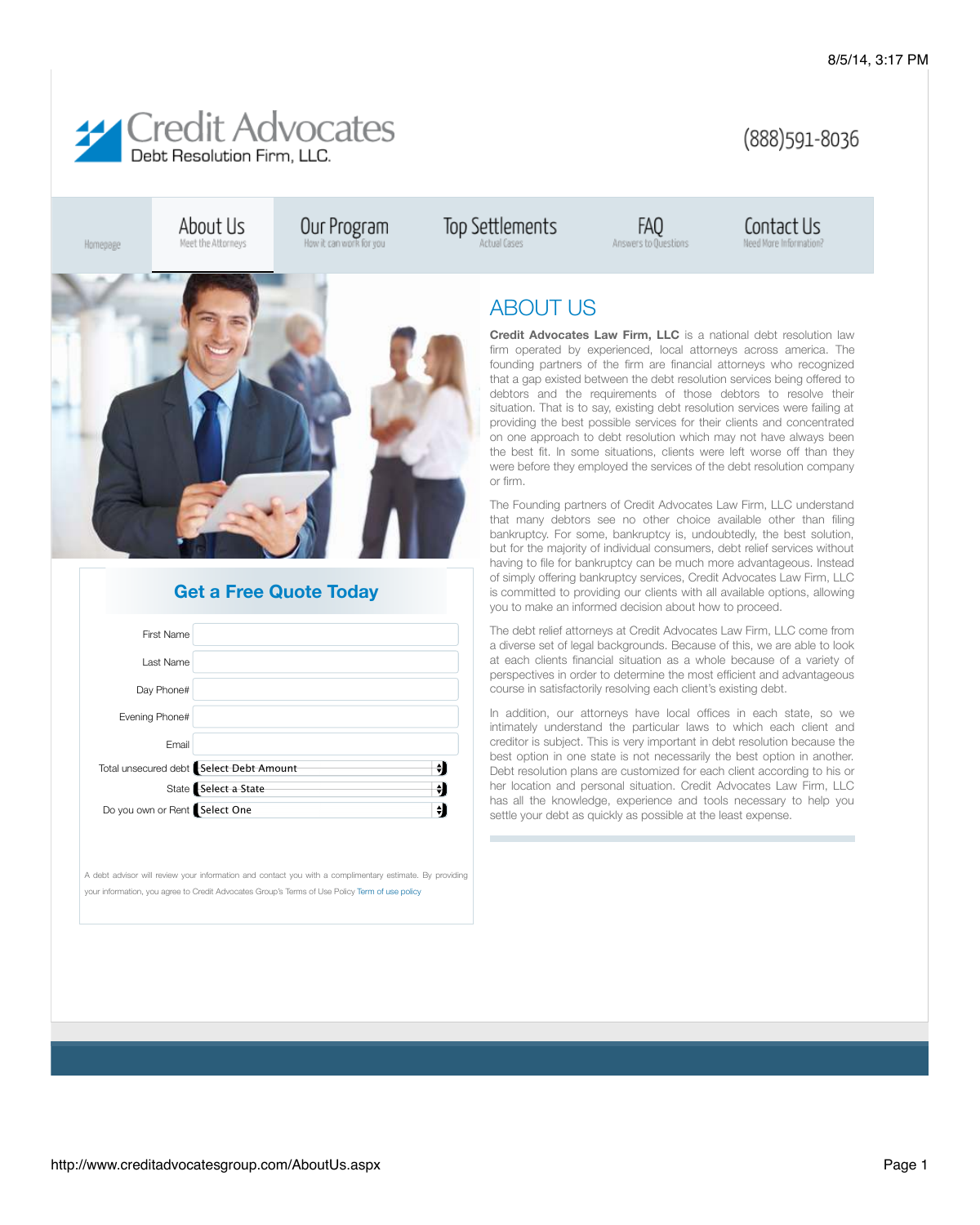

## (888) 591-8036

Contact Us

Need More Information?

Homepage

About Us Meet the Attorneys Our Program



| <b>First Name</b>             |                                                     |  |
|-------------------------------|-----------------------------------------------------|--|
| Last Name                     |                                                     |  |
| Day Phone#                    |                                                     |  |
| Evening Phone#                |                                                     |  |
| Email                         |                                                     |  |
|                               | Total unsecured debt <b>Select Debt Amount</b><br>♦ |  |
|                               | State Select a State<br>÷                           |  |
| Do you own or Rent Select One |                                                     |  |

A debt advisor will review your information and contact you with a complimentary estimate. By providing your information, you agree to Credit Advocates Group's Terms of Use Policy [Term of use policy](http://www.creditadvocatesgroup.com/Terms.aspx)

## **Get a Free Quote Today**

ABOUT US

Top Settlements

Actual Cases

**Credit Advocates Law Firm, LLC** is a national debt resolution law firm operated by experienced, local attorneys across america. The founding partners of the firm are financial attorneys who recognized that a gap existed between the debt resolution services being offered to debtors and the requirements of those debtors to resolve their situation. That is to say, existing debt resolution services were failing at providing the best possible services for their clients and concentrated on one approach to debt resolution which may not have always been the best fit. In some situations, clients were left worse off than they were before they employed the services of the debt resolution company or firm.

FAQ

Answers to Questions

The Founding partners of Credit Advocates Law Firm, LLC understand that many debtors see no other choice available other than filing bankruptcy. For some, bankruptcy is, undoubtedly, the best solution, but for the majority of individual consumers, debt relief services without having to file for bankruptcy can be much more advantageous. Instead of simply offering bankruptcy services, Credit Advocates Law Firm, LLC is committed to providing our clients with all available options, allowing you to make an informed decision about how to proceed.

The debt relief attorneys at Credit Advocates Law Firm, LLC come from a diverse set of legal backgrounds. Because of this, we are able to look at each clients financial situation as a whole because of a variety of perspectives in order to determine the most efficient and advantageous course in satisfactorily resolving each client's existing debt.

In addition, our attorneys have local offices in each state, so we intimately understand the particular laws to which each client and creditor is subject. This is very important in debt resolution because the best option in one state is not necessarily the best option in another. Debt resolution plans are customized for each client according to his or her location and personal situation. Credit Advocates Law Firm, LLC has all the knowledge, experience and tools necessary to help you settle your debt as quickly as possible at the least expense.

http://www.creditadvocatesgroup.com/AboutUs.aspx example and the state of the state of the Page 1